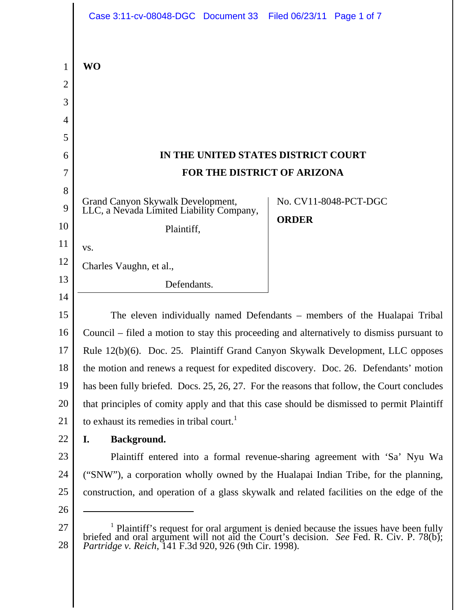|        | Case 3:11-cv-08048-DGC Document 33 Filed 06/23/11 Page 1 of 7                                                                                                                                  |              |                       |
|--------|------------------------------------------------------------------------------------------------------------------------------------------------------------------------------------------------|--------------|-----------------------|
|        |                                                                                                                                                                                                |              |                       |
| 1      | <b>WO</b>                                                                                                                                                                                      |              |                       |
| 2      |                                                                                                                                                                                                |              |                       |
| 3      |                                                                                                                                                                                                |              |                       |
| 4      |                                                                                                                                                                                                |              |                       |
| 5<br>6 | IN THE UNITED STATES DISTRICT COURT                                                                                                                                                            |              |                       |
| 7      | FOR THE DISTRICT OF ARIZONA                                                                                                                                                                    |              |                       |
| 8      |                                                                                                                                                                                                |              |                       |
| 9      | Grand Canyon Skywalk Development,<br>LLC, a Nevada Limited Liability Company,                                                                                                                  |              | No. CV11-8048-PCT-DGC |
| 10     |                                                                                                                                                                                                | <b>ORDER</b> |                       |
| 11     | Plaintiff,                                                                                                                                                                                     |              |                       |
| 12     | VS.                                                                                                                                                                                            |              |                       |
| 13     | Charles Vaughn, et al.,                                                                                                                                                                        |              |                       |
| 14     | Defendants.                                                                                                                                                                                    |              |                       |
| 15     | The eleven individually named Defendants – members of the Hualapai Tribal                                                                                                                      |              |                       |
| 16     | Council – filed a motion to stay this proceeding and alternatively to dismiss pursuant to                                                                                                      |              |                       |
| 17     | Rule 12(b)(6). Doc. 25. Plaintiff Grand Canyon Skywalk Development, LLC opposes                                                                                                                |              |                       |
| 18     | the motion and renews a request for expedited discovery. Doc. 26. Defendants' motion                                                                                                           |              |                       |
| 19     | has been fully briefed. Docs. 25, 26, 27. For the reasons that follow, the Court concludes                                                                                                     |              |                       |
| 20     | that principles of comity apply and that this case should be dismissed to permit Plaintiff                                                                                                     |              |                       |
| 21     | to exhaust its remedies in tribal court. <sup>1</sup>                                                                                                                                          |              |                       |
| 22     | Background.<br>I.                                                                                                                                                                              |              |                       |
| 23     | Plaintiff entered into a formal revenue-sharing agreement with 'Sa' Nyu Wa                                                                                                                     |              |                       |
| 24     | ("SNW"), a corporation wholly owned by the Hualapai Indian Tribe, for the planning,                                                                                                            |              |                       |
| 25     | construction, and operation of a glass skywalk and related facilities on the edge of the                                                                                                       |              |                       |
| 26     |                                                                                                                                                                                                |              |                       |
| 27     | <sup>1</sup> Plaintiff's request for oral argument is denied because the issues have been fully briefed and oral argument will not aid the Court's decision. <i>See</i> Fed. R. Civ. P. 78(b); |              |                       |
| 28     | Partridge v. Reich, 141 F.3d 920, 926 (9th Cir. 1998).                                                                                                                                         |              |                       |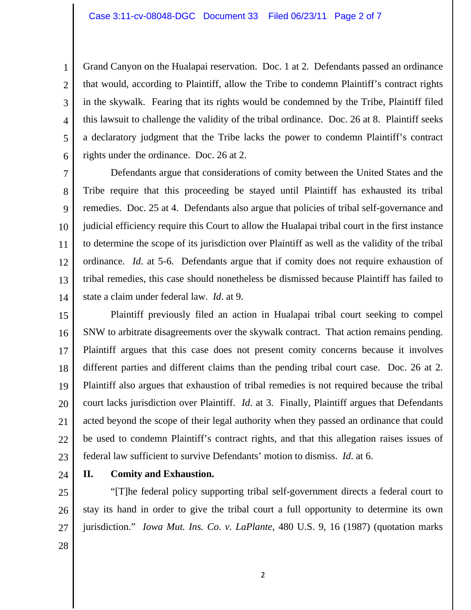Grand Canyon on the Hualapai reservation. Doc. 1 at 2. Defendants passed an ordinance that would, according to Plaintiff, allow the Tribe to condemn Plaintiff's contract rights in the skywalk. Fearing that its rights would be condemned by the Tribe, Plaintiff filed this lawsuit to challenge the validity of the tribal ordinance. Doc. 26 at 8. Plaintiff seeks a declaratory judgment that the Tribe lacks the power to condemn Plaintiff's contract rights under the ordinance. Doc. 26 at 2.

7 8 9 10 11 12 13 14 Defendants argue that considerations of comity between the United States and the Tribe require that this proceeding be stayed until Plaintiff has exhausted its tribal remedies. Doc. 25 at 4. Defendants also argue that policies of tribal self-governance and judicial efficiency require this Court to allow the Hualapai tribal court in the first instance to determine the scope of its jurisdiction over Plaintiff as well as the validity of the tribal ordinance. *Id*. at 5-6. Defendants argue that if comity does not require exhaustion of tribal remedies, this case should nonetheless be dismissed because Plaintiff has failed to state a claim under federal law. *Id*. at 9.

15 16 17 18 19 20 21 22 23 Plaintiff previously filed an action in Hualapai tribal court seeking to compel SNW to arbitrate disagreements over the skywalk contract. That action remains pending. Plaintiff argues that this case does not present comity concerns because it involves different parties and different claims than the pending tribal court case. Doc. 26 at 2. Plaintiff also argues that exhaustion of tribal remedies is not required because the tribal court lacks jurisdiction over Plaintiff. *Id*. at 3. Finally, Plaintiff argues that Defendants acted beyond the scope of their legal authority when they passed an ordinance that could be used to condemn Plaintiff's contract rights, and that this allegation raises issues of federal law sufficient to survive Defendants' motion to dismiss. *Id*. at 6.

24

1

2

3

4

5

6

## **II. Comity and Exhaustion.**

25 26 27 28 "[T]he federal policy supporting tribal self-government directs a federal court to stay its hand in order to give the tribal court a full opportunity to determine its own jurisdiction." *Iowa Mut. Ins. Co. v. LaPlante*, 480 U.S. 9, 16 (1987) (quotation marks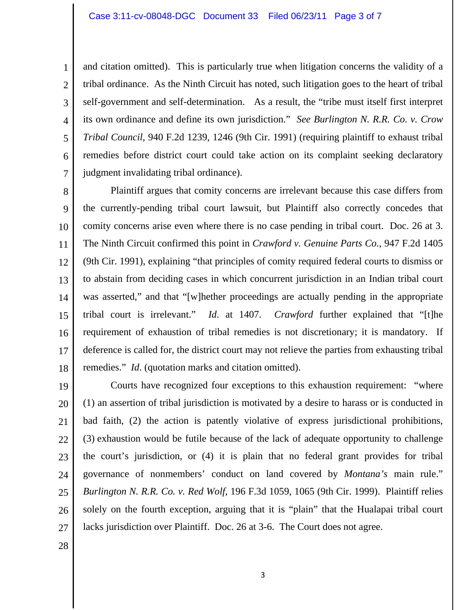4 6 and citation omitted). This is particularly true when litigation concerns the validity of a tribal ordinance. As the Ninth Circuit has noted, such litigation goes to the heart of tribal self-government and self-determination. As a result, the "tribe must itself first interpret its own ordinance and define its own jurisdiction." *See Burlington N. R.R. Co. v. Crow Tribal Council*, 940 F.2d 1239, 1246 (9th Cir. 1991) (requiring plaintiff to exhaust tribal remedies before district court could take action on its complaint seeking declaratory judgment invalidating tribal ordinance).

8 9 10 11 12 13 14 15 16 17 18 Plaintiff argues that comity concerns are irrelevant because this case differs from the currently-pending tribal court lawsuit, but Plaintiff also correctly concedes that comity concerns arise even where there is no case pending in tribal court. Doc. 26 at 3. The Ninth Circuit confirmed this point in *Crawford v. Genuine Parts Co.*, 947 F.2d 1405 (9th Cir. 1991), explaining "that principles of comity required federal courts to dismiss or to abstain from deciding cases in which concurrent jurisdiction in an Indian tribal court was asserted," and that "[w]hether proceedings are actually pending in the appropriate tribal court is irrelevant." *Id*. at 1407. *Crawford* further explained that "[t]he requirement of exhaustion of tribal remedies is not discretionary; it is mandatory. If deference is called for, the district court may not relieve the parties from exhausting tribal remedies." *Id*. (quotation marks and citation omitted).

19 20 21 22 23 24 25 26 27 Courts have recognized four exceptions to this exhaustion requirement: "where (1) an assertion of tribal jurisdiction is motivated by a desire to harass or is conducted in bad faith, (2) the action is patently violative of express jurisdictional prohibitions, (3) exhaustion would be futile because of the lack of adequate opportunity to challenge the court's jurisdiction, or (4) it is plain that no federal grant provides for tribal governance of nonmembers' conduct on land covered by *Montana's* main rule." *Burlington N. R.R. Co. v. Red Wolf*, 196 F.3d 1059, 1065 (9th Cir. 1999). Plaintiff relies solely on the fourth exception, arguing that it is "plain" that the Hualapai tribal court lacks jurisdiction over Plaintiff. Doc. 26 at 3-6. The Court does not agree.

28

1

2

3

5

7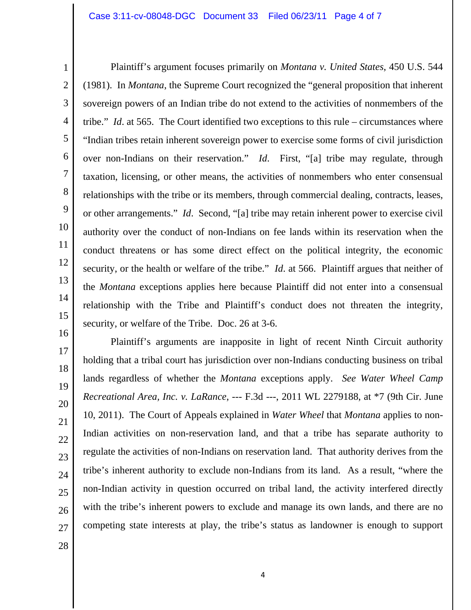Plaintiff's argument focuses primarily on *Montana v. United States*, 450 U.S. 544 (1981). In *Montana*, the Supreme Court recognized the "general proposition that inherent sovereign powers of an Indian tribe do not extend to the activities of nonmembers of the tribe." *Id*. at 565. The Court identified two exceptions to this rule – circumstances where "Indian tribes retain inherent sovereign power to exercise some forms of civil jurisdiction over non-Indians on their reservation." *Id*. First, "[a] tribe may regulate, through taxation, licensing, or other means, the activities of nonmembers who enter consensual relationships with the tribe or its members, through commercial dealing, contracts, leases, or other arrangements." *Id*. Second, "[a] tribe may retain inherent power to exercise civil authority over the conduct of non-Indians on fee lands within its reservation when the conduct threatens or has some direct effect on the political integrity, the economic security, or the health or welfare of the tribe." *Id*. at 566. Plaintiff argues that neither of the *Montana* exceptions applies here because Plaintiff did not enter into a consensual relationship with the Tribe and Plaintiff's conduct does not threaten the integrity, security, or welfare of the Tribe. Doc. 26 at 3-6.

16 17 18 19 20 21 22 23 24 25 26 27 Plaintiff's arguments are inapposite in light of recent Ninth Circuit authority holding that a tribal court has jurisdiction over non-Indians conducting business on tribal lands regardless of whether the *Montana* exceptions apply. *See Water Wheel Camp Recreational Area, Inc. v. LaRance*, --- F.3d ---, 2011 WL 2279188, at \*7 (9th Cir. June 10, 2011). The Court of Appeals explained in *Water Wheel* that *Montana* applies to non-Indian activities on non-reservation land, and that a tribe has separate authority to regulate the activities of non-Indians on reservation land. That authority derives from the tribe's inherent authority to exclude non-Indians from its land. As a result, "where the non-Indian activity in question occurred on tribal land, the activity interfered directly with the tribe's inherent powers to exclude and manage its own lands, and there are no competing state interests at play, the tribe's status as landowner is enough to support

28

1

2

3

4

5

6

7

8

9

10

11

12

13

14

15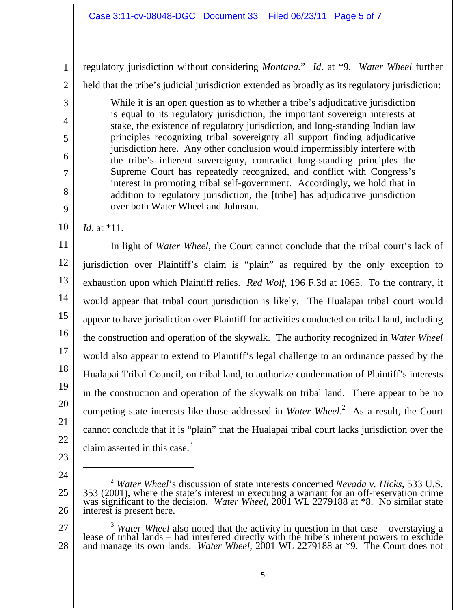regulatory jurisdiction without considering *Montana.*" *Id*. at \*9. *Water Wheel* further

held that the tribe's judicial jurisdiction extended as broadly as its regulatory jurisdiction:

While it is an open question as to whether a tribe's adjudicative jurisdiction is equal to its regulatory jurisdiction, the important sovereign interests at stake, the existence of regulatory jurisdiction, and long-standing Indian law principles recognizing tribal sovereignty all support finding adjudicative jurisdiction here. Any other conclusion would impermissibly interfere with the tribe's inherent sovereignty, contradict long-standing principles the Supreme Court has repeatedly recognized, and conflict with Congress's interest in promoting tribal self-government. Accordingly, we hold that in addition to regulatory jurisdiction, the [tribe] has adjudicative jurisdiction over both Water Wheel and Johnson.

10 *Id*. at \*11.

1

2

3

4

5

6

7

8

9

11 12 13 14 15 16 17 18 19 20 21 22 In light of *Water Wheel*, the Court cannot conclude that the tribal court's lack of jurisdiction over Plaintiff's claim is "plain" as required by the only exception to exhaustion upon which Plaintiff relies. *Red Wolf*, 196 F.3d at 1065. To the contrary, it would appear that tribal court jurisdiction is likely. The Hualapai tribal court would appear to have jurisdiction over Plaintiff for activities conducted on tribal land, including the construction and operation of the skywalk. The authority recognized in *Water Wheel* would also appear to extend to Plaintiff's legal challenge to an ordinance passed by the Hualapai Tribal Council, on tribal land, to authorize condemnation of Plaintiff's interests in the construction and operation of the skywalk on tribal land. There appear to be no competing state interests like those addressed in *Water Wheel*. 2 As a result, the Court cannot conclude that it is "plain" that the Hualapai tribal court lacks jurisdiction over the claim asserted in this case. $3$ 

- 23
- 24

 $\overline{a}$ 

<sup>25</sup>  26 <sup>2</sup> *Water Wheel*'s discussion of state interests concerned *Nevada v. Hicks*, 533 U.S. 353 (2001), where the state's interest in executing a warrant for an off-reservation crime was significant to the decision. *Water Wheel*, 2001 WL 2279188 at \*8. No similar state interest is present here.

<sup>27</sup>  28 <sup>3</sup> Water Wheel also noted that the activity in question in that case – overstaying a lease of tribal lands – had interfered directly with the tribe's inherent powers to exclude and manage its own lands. Water Wheel, 2001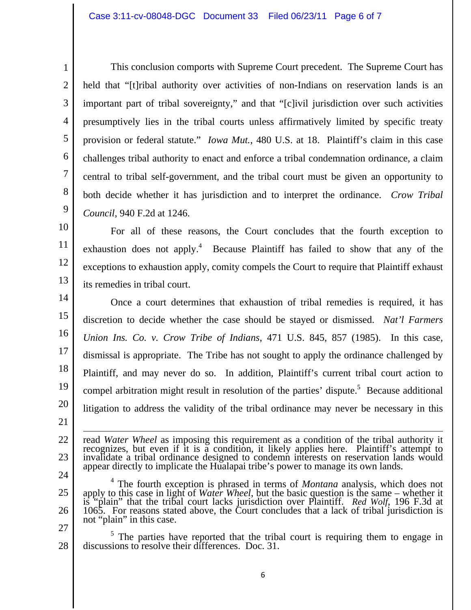This conclusion comports with Supreme Court precedent. The Supreme Court has held that "[t]ribal authority over activities of non-Indians on reservation lands is an important part of tribal sovereignty," and that "[c]ivil jurisdiction over such activities presumptively lies in the tribal courts unless affirmatively limited by specific treaty provision or federal statute." *Iowa Mut.*, 480 U.S. at 18. Plaintiff's claim in this case challenges tribal authority to enact and enforce a tribal condemnation ordinance, a claim central to tribal self-government, and the tribal court must be given an opportunity to both decide whether it has jurisdiction and to interpret the ordinance. *Crow Tribal Council*, 940 F.2d at 1246.

10 11 12 13 For all of these reasons, the Court concludes that the fourth exception to exhaustion does not apply.<sup>4</sup> Because Plaintiff has failed to show that any of the exceptions to exhaustion apply, comity compels the Court to require that Plaintiff exhaust its remedies in tribal court.

14 15 16 17 18 19 20 21 Once a court determines that exhaustion of tribal remedies is required, it has discretion to decide whether the case should be stayed or dismissed. *Nat'l Farmers Union Ins. Co. v. Crow Tribe of Indians*, 471 U.S. 845, 857 (1985). In this case, dismissal is appropriate. The Tribe has not sought to apply the ordinance challenged by Plaintiff, and may never do so. In addition, Plaintiff's current tribal court action to compel arbitration might result in resolution of the parties' dispute.<sup>5</sup> Because additional litigation to address the validity of the tribal ordinance may never be necessary in this

read Water Wheel as imposing this requirement as a condition of the tribal authority it recognizes, but even if it is a condition, it likely applies here. Plaintiff's attempt to invalidate a tribal ordinance designed to co appear directly to implicate the Hualapai tribe's power to manage its own lands.

- 24 25 26 4 The fourth exception is phrased in terms of *Montana* analysis, which does not apply to this case in light of *Water Wheel*, but the basic question is the same – whether it is "plain" that the tribal court lacks jurisdiction over Plaintiff. *Red Wolf*, 196 F.3d at 1065. For reasons stated above, the Court concludes that a lack of tribal jurisdiction is not "plain" in this case.
- 27

22

23

1

2

3

4

5

6

7

8

9

28 <sup>5</sup> The parties have reported that the tribal court is requiring them to engage in discussions to resolve their differences. Doc. 31.

6